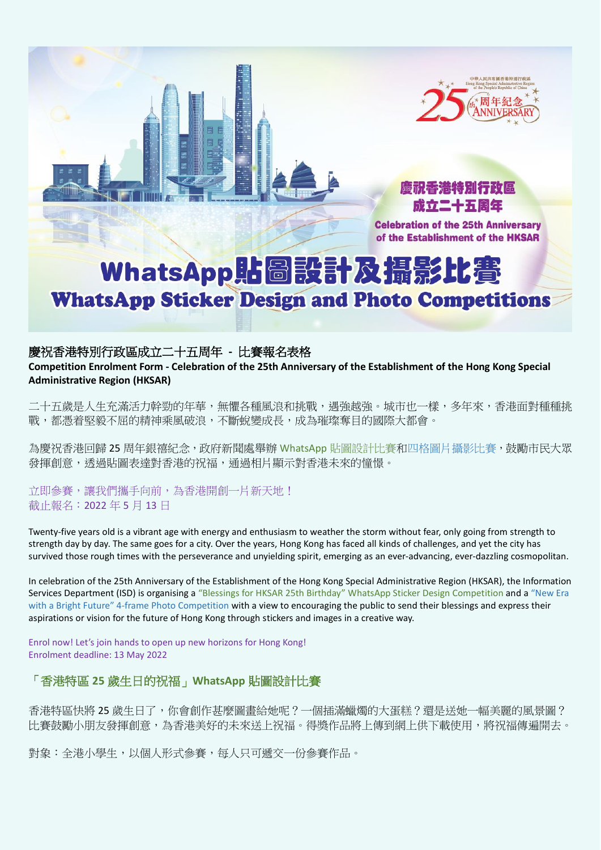



**Celebration of the 25th Anniversary** of the Establishment of the HKSAR

# WhatsApp貼圖設計及攝影比賽 **WhatsApp Sticker Design and Photo Competitions**

#### 慶祝香港特別行政區成立二十五周年 **-** 比賽報名表格

**Competition Enrolment Form - Celebration of the 25th Anniversary of the Establishment of the Hong Kong Special Administrative Region (HKSAR)**

二十五歲是人生充滿活力幹勁的年華,無懼各種風浪和挑戰,遇強越強。城市也一樣,多年來,香港面對種種挑 戰,都憑着堅毅不屈的精神乘風破浪,不斷蛻變成長,成為璀璨奪目的國際大都會。

為慶祝香港回歸 25 周年銀禧紀念,政府新聞處舉辦 WhatsApp 貼圖設計比賽和四格圖片攝影比賽,鼓勵市民大眾 發揮創意,诱過貼圖表達對香港的祝福,通過相片顯示對香港未來的憧憬。

立即參賽,讓我們攜手向前,為香港開創一片新天地! 截止報名:2022 年 5 月 13 日

Twenty-five years old is a vibrant age with energy and enthusiasm to weather the storm without fear, only going from strength to strength day by day. The same goes for a city. Over the years, Hong Kong has faced all kinds of challenges, and yet the city has survived those rough times with the perseverance and unyielding spirit, emerging as an ever-advancing, ever-dazzling cosmopolitan.

In celebration of the 25th Anniversary of the Establishment of the Hong Kong Special Administrative Region (HKSAR), the Information Services Department (ISD) is organising a "Blessings for HKSAR 25th Birthday" WhatsApp Sticker Design Competition and a "New Era with a Bright Future" 4-frame Photo Competition with a view to encouraging the public to send their blessings and express their aspirations or vision for the future of Hong Kong through stickers and images in a creative way.

Enrol now! Let's join hands to open up new horizons for Hong Kong! Enrolment deadline: 13 May 2022

## 「香港特區 **25** 歲生日的祝福」**WhatsApp** 貼圖設計比賽

香港特區快將 25 歲生日了,你會創作甚麼圖畫給她呢?一個插滿蠟燭的大蛋糕?還是送她一幅美麗的風景圖? 比賽鼓勵小朋友發揮創意,為香港美好的未來送上祝福。得獎作品將上傳到網上供下載使用,將祝福傳遍開去。

對象:全港小學生,以個人形式參賽,每人只可遞交一份參賽作品。